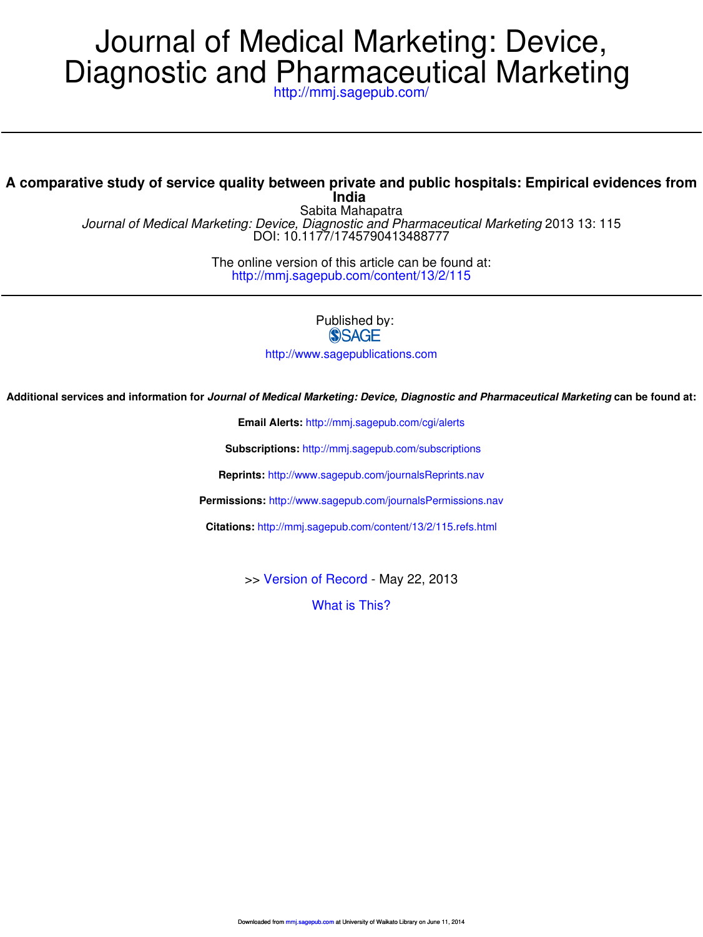# Diagnostic and Pharmaceutical Marketing Journal of Medical Marketing: Device,

http://mmj.sagepub.com/

# **India A comparative study of service quality between private and public hospitals: Empirical evidences from**

DOI: 10.1177/1745790413488777 Journal of Medical Marketing: Device, Diagnostic and Pharmaceutical Marketing 2013 13: 115 Sabita Mahapatra

> http://mmj.sagepub.com/content/13/2/115 The online version of this article can be found at:

> > Published by: **SSAGE**

http://www.sagepublications.com

**Additional services and information for Journal of Medical Marketing: Device, Diagnostic and Pharmaceutical Marketing can be found at:**

**Email Alerts:** http://mmj.sagepub.com/cgi/alerts

**Subscriptions:** http://mmj.sagepub.com/subscriptions

**Reprints:** http://www.sagepub.com/journalsReprints.nav

**Permissions:** http://www.sagepub.com/journalsPermissions.nav

**Citations:** http://mmj.sagepub.com/content/13/2/115.refs.html

>> Version of Record - May 22, 2013

What is This?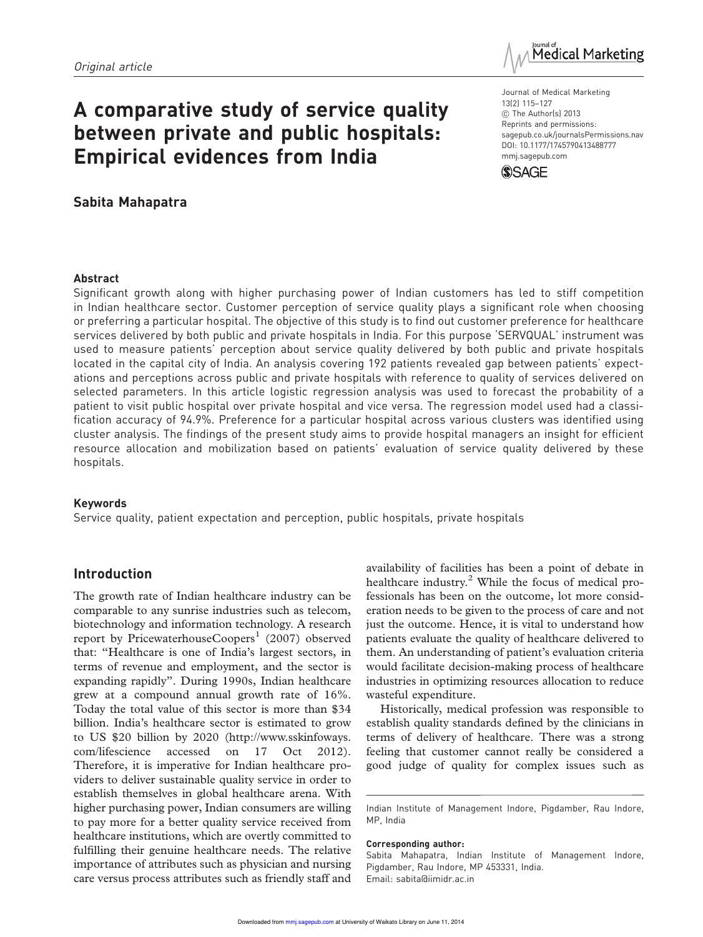

# A comparative study of service quality between private and public hospitals: Empirical evidences from India

# Sabita Mahapatra

Journal of Medical Marketing 13(2) 115–127 (c) The Author(s) 2013 Reprints and permissions: sagepub.co.uk/journalsPermissions.nav DOI: 10.1177/1745790413488777 mmj.sagepub.com



#### Abstract

Significant growth along with higher purchasing power of Indian customers has led to stiff competition in Indian healthcare sector. Customer perception of service quality plays a significant role when choosing or preferring a particular hospital. The objective of this study is to find out customer preference for healthcare services delivered by both public and private hospitals in India. For this purpose 'SERVQUAL' instrument was used to measure patients' perception about service quality delivered by both public and private hospitals located in the capital city of India. An analysis covering 192 patients revealed gap between patients' expectations and perceptions across public and private hospitals with reference to quality of services delivered on selected parameters. In this article logistic regression analysis was used to forecast the probability of a patient to visit public hospital over private hospital and vice versa. The regression model used had a classification accuracy of 94.9%. Preference for a particular hospital across various clusters was identified using cluster analysis. The findings of the present study aims to provide hospital managers an insight for efficient resource allocation and mobilization based on patients' evaluation of service quality delivered by these hospitals.

#### Keywords

Service quality, patient expectation and perception, public hospitals, private hospitals

#### Introduction

The growth rate of Indian healthcare industry can be comparable to any sunrise industries such as telecom, biotechnology and information technology. A research report by PricewaterhouseCoopers<sup>1</sup> (2007) observed that: ''Healthcare is one of India's largest sectors, in terms of revenue and employment, and the sector is expanding rapidly''. During 1990s, Indian healthcare grew at a compound annual growth rate of 16%. Today the total value of this sector is more than \$34 billion. India's healthcare sector is estimated to grow to US \$20 billion by 2020 (http://www.sskinfoways. com/lifescience accessed on 17 Oct 2012). Therefore, it is imperative for Indian healthcare providers to deliver sustainable quality service in order to establish themselves in global healthcare arena. With higher purchasing power, Indian consumers are willing to pay more for a better quality service received from healthcare institutions, which are overtly committed to fulfilling their genuine healthcare needs. The relative importance of attributes such as physician and nursing care versus process attributes such as friendly staff and

availability of facilities has been a point of debate in healthcare industry. $2$  While the focus of medical professionals has been on the outcome, lot more consideration needs to be given to the process of care and not just the outcome. Hence, it is vital to understand how patients evaluate the quality of healthcare delivered to them. An understanding of patient's evaluation criteria would facilitate decision-making process of healthcare industries in optimizing resources allocation to reduce wasteful expenditure.

Historically, medical profession was responsible to establish quality standards defined by the clinicians in terms of delivery of healthcare. There was a strong feeling that customer cannot really be considered a good judge of quality for complex issues such as

#### Corresponding author:

Sabita Mahapatra, Indian Institute of Management Indore, Pigdamber, Rau Indore, MP 453331, India. Email: sabita@iimidr.ac.in

Indian Institute of Management Indore, Pigdamber, Rau Indore, MP, India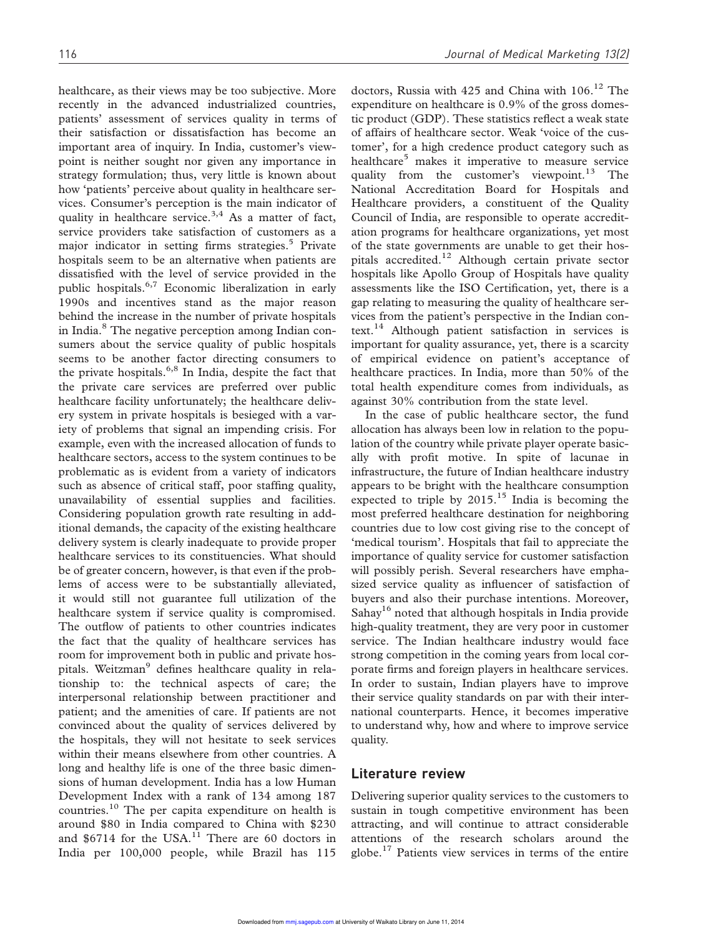healthcare, as their views may be too subjective. More recently in the advanced industrialized countries, patients' assessment of services quality in terms of their satisfaction or dissatisfaction has become an important area of inquiry. In India, customer's viewpoint is neither sought nor given any importance in strategy formulation; thus, very little is known about how 'patients' perceive about quality in healthcare services. Consumer's perception is the main indicator of quality in healthcare service.<sup>3,4</sup> As a matter of fact, service providers take satisfaction of customers as a major indicator in setting firms strategies.<sup>5</sup> Private hospitals seem to be an alternative when patients are dissatisfied with the level of service provided in the public hospitals.<sup>6,7</sup> Economic liberalization in early 1990s and incentives stand as the major reason behind the increase in the number of private hospitals in India.<sup>8</sup> The negative perception among Indian consumers about the service quality of public hospitals seems to be another factor directing consumers to the private hospitals. $6,8$  In India, despite the fact that the private care services are preferred over public healthcare facility unfortunately; the healthcare delivery system in private hospitals is besieged with a variety of problems that signal an impending crisis. For example, even with the increased allocation of funds to healthcare sectors, access to the system continues to be problematic as is evident from a variety of indicators such as absence of critical staff, poor staffing quality, unavailability of essential supplies and facilities. Considering population growth rate resulting in additional demands, the capacity of the existing healthcare delivery system is clearly inadequate to provide proper healthcare services to its constituencies. What should be of greater concern, however, is that even if the problems of access were to be substantially alleviated, it would still not guarantee full utilization of the healthcare system if service quality is compromised. The outflow of patients to other countries indicates the fact that the quality of healthcare services has room for improvement both in public and private hospitals. Weitzman<sup>9</sup> defines healthcare quality in relationship to: the technical aspects of care; the interpersonal relationship between practitioner and patient; and the amenities of care. If patients are not convinced about the quality of services delivered by the hospitals, they will not hesitate to seek services within their means elsewhere from other countries. A long and healthy life is one of the three basic dimensions of human development. India has a low Human Development Index with a rank of 134 among 187 countries.<sup>10</sup> The per capita expenditure on health is around \$80 in India compared to China with \$230 and  $$6714$  for the USA.<sup>11</sup> There are 60 doctors in India per 100,000 people, while Brazil has 115

doctors, Russia with  $425$  and China with  $106$ .<sup>12</sup> The expenditure on healthcare is 0.9% of the gross domestic product (GDP). These statistics reflect a weak state of affairs of healthcare sector. Weak 'voice of the customer', for a high credence product category such as healthcare<sup>5</sup> makes it imperative to measure service quality from the customer's viewpoint.<sup>13</sup> The National Accreditation Board for Hospitals and Healthcare providers, a constituent of the Quality Council of India, are responsible to operate accreditation programs for healthcare organizations, yet most of the state governments are unable to get their hospitals accredited.<sup>12</sup> Although certain private sector hospitals like Apollo Group of Hospitals have quality assessments like the ISO Certification, yet, there is a gap relating to measuring the quality of healthcare services from the patient's perspective in the Indian context.<sup>14</sup> Although patient satisfaction in services is important for quality assurance, yet, there is a scarcity of empirical evidence on patient's acceptance of healthcare practices. In India, more than 50% of the total health expenditure comes from individuals, as against 30% contribution from the state level.

In the case of public healthcare sector, the fund allocation has always been low in relation to the population of the country while private player operate basically with profit motive. In spite of lacunae in infrastructure, the future of Indian healthcare industry appears to be bright with the healthcare consumption expected to triple by  $2015$ .<sup>15</sup> India is becoming the most preferred healthcare destination for neighboring countries due to low cost giving rise to the concept of 'medical tourism'. Hospitals that fail to appreciate the importance of quality service for customer satisfaction will possibly perish. Several researchers have emphasized service quality as influencer of satisfaction of buyers and also their purchase intentions. Moreover,  $Sahay<sup>16</sup>$  noted that although hospitals in India provide high-quality treatment, they are very poor in customer service. The Indian healthcare industry would face strong competition in the coming years from local corporate firms and foreign players in healthcare services. In order to sustain, Indian players have to improve their service quality standards on par with their international counterparts. Hence, it becomes imperative to understand why, how and where to improve service quality.

#### Literature review

Delivering superior quality services to the customers to sustain in tough competitive environment has been attracting, and will continue to attract considerable attentions of the research scholars around the globe.<sup>17</sup> Patients view services in terms of the entire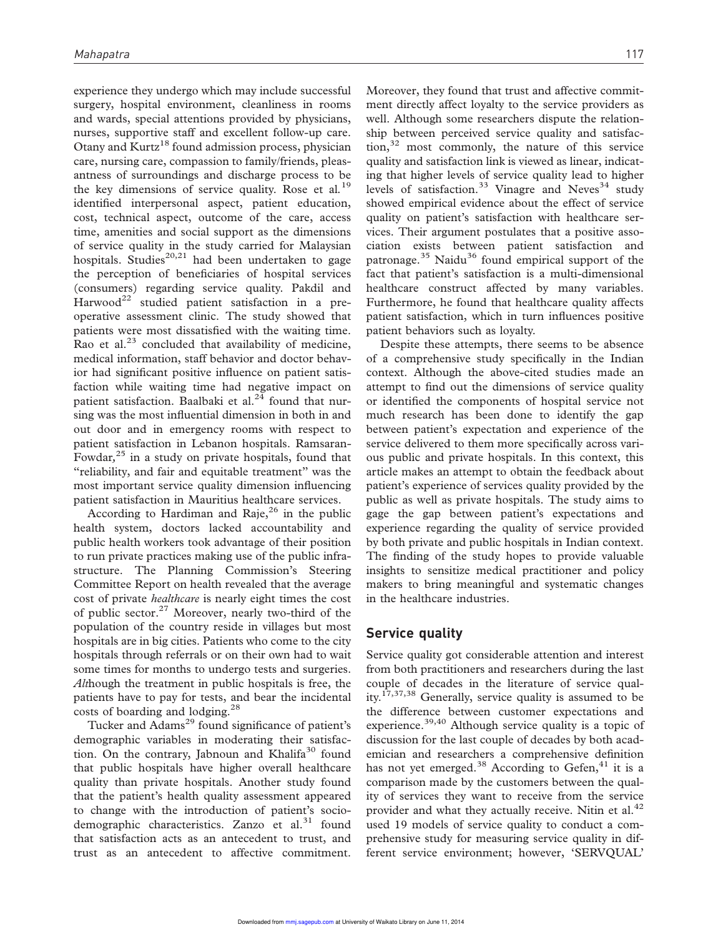experience they undergo which may include successful surgery, hospital environment, cleanliness in rooms and wards, special attentions provided by physicians, nurses, supportive staff and excellent follow-up care. Otany and Kurtz<sup>18</sup> found admission process, physician care, nursing care, compassion to family/friends, pleasantness of surroundings and discharge process to be the key dimensions of service quality. Rose et al*.* 19 identified interpersonal aspect, patient education, cost, technical aspect, outcome of the care, access time, amenities and social support as the dimensions of service quality in the study carried for Malaysian hospitals. Studies<sup>20,21</sup> had been undertaken to gage the perception of beneficiaries of hospital services (consumers) regarding service quality. Pakdil and Harwood<sup>22</sup> studied patient satisfaction in a preoperative assessment clinic. The study showed that patients were most dissatisfied with the waiting time. Rao et al. $^{23}$  concluded that availability of medicine, medical information, staff behavior and doctor behavior had significant positive influence on patient satisfaction while waiting time had negative impact on patient satisfaction. Baalbaki et al. $^{24}$  found that nursing was the most influential dimension in both in and out door and in emergency rooms with respect to patient satisfaction in Lebanon hospitals. Ramsaran*-*Fowdar*,* <sup>25</sup> in a study on private hospitals, found that "reliability, and fair and equitable treatment" was the most important service quality dimension influencing patient satisfaction in Mauritius healthcare services.

According to Hardiman and Raje,<sup>26</sup> in the public health system, doctors lacked accountability and public health workers took advantage of their position to run private practices making use of the public infrastructure. The Planning Commission's Steering Committee Report on health revealed that the average cost of private *healthcare* is nearly eight times the cost of public sector.<sup>27</sup> Moreover, nearly two-third of the population of the country reside in villages but most hospitals are in big cities. Patients who come to the city hospitals through referrals or on their own had to wait some times for months to undergo tests and surgeries. *Alt*hough the treatment in public hospitals is free, the patients have to pay for tests, and bear the incidental costs of boarding and lodging.<sup>28</sup>

Tucker and Adams<sup>29</sup> found significance of patient's demographic variables in moderating their satisfaction. On the contrary, Jabnoun and Khalifa $30$  found that public hospitals have higher overall healthcare quality than private hospitals. Another study found that the patient's health quality assessment appeared to change with the introduction of patient's sociodemographic characteristics. Zanzo et al.<sup>31</sup> found that satisfaction acts as an antecedent to trust, and trust as an antecedent to affective commitment.

Moreover, they found that trust and affective commitment directly affect loyalty to the service providers as well. Although some researchers dispute the relationship between perceived service quality and satisfac- $\frac{32}{100}$  most commonly, the nature of this service quality and satisfaction link is viewed as linear, indicating that higher levels of service quality lead to higher levels of satisfaction.<sup>33</sup> Vinagre and Neves<sup>34</sup> study showed empirical evidence about the effect of service quality on patient's satisfaction with healthcare services. Their argument postulates that a positive association exists between patient satisfaction and patronage.<sup>35</sup> Naidu<sup>36</sup> found empirical support of the fact that patient's satisfaction is a multi-dimensional healthcare construct affected by many variables. Furthermore, he found that healthcare quality affects patient satisfaction, which in turn influences positive patient behaviors such as loyalty.

Despite these attempts, there seems to be absence of a comprehensive study specifically in the Indian context. Although the above-cited studies made an attempt to find out the dimensions of service quality or identified the components of hospital service not much research has been done to identify the gap between patient's expectation and experience of the service delivered to them more specifically across various public and private hospitals. In this context, this article makes an attempt to obtain the feedback about patient's experience of services quality provided by the public as well as private hospitals. The study aims to gage the gap between patient's expectations and experience regarding the quality of service provided by both private and public hospitals in Indian context. The finding of the study hopes to provide valuable insights to sensitize medical practitioner and policy makers to bring meaningful and systematic changes in the healthcare industries.

# Service quality

Service quality got considerable attention and interest from both practitioners and researchers during the last couple of decades in the literature of service quality.17,37,38 Generally, service quality is assumed to be the difference between customer expectations and experience.<sup>39,40</sup> Although service quality is a topic of discussion for the last couple of decades by both academician and researchers a comprehensive definition has not yet emerged.<sup>38</sup> According to Gefen,<sup>41</sup> it is a comparison made by the customers between the quality of services they want to receive from the service provider and what they actually receive. Nitin et al.<sup>42</sup> used 19 models of service quality to conduct a comprehensive study for measuring service quality in different service environment; however, 'SERVQUAL'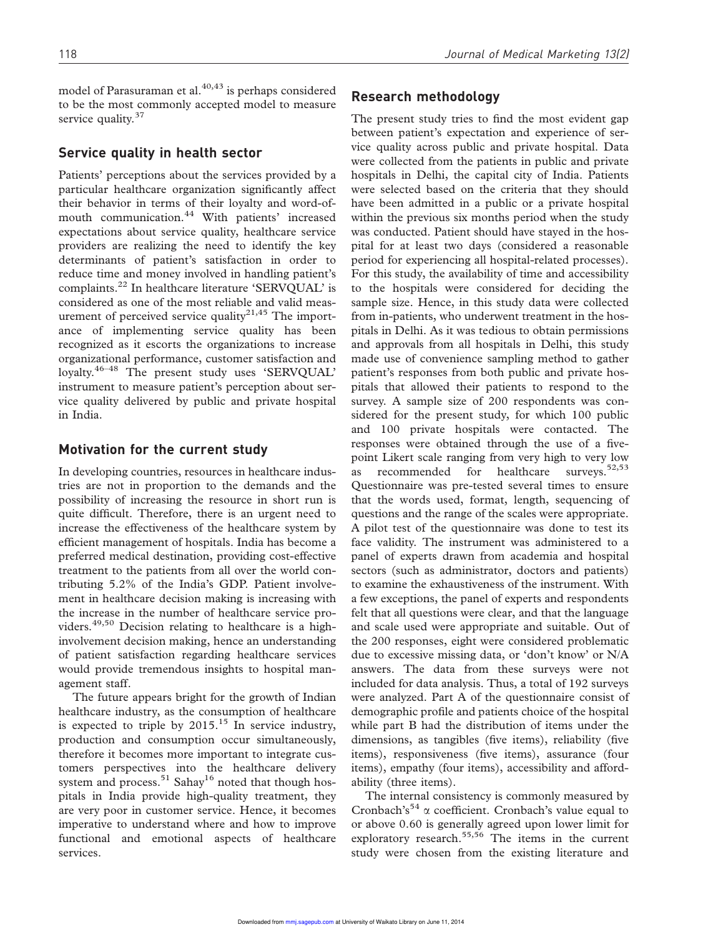model of Parasuraman et al. $40,43$  is perhaps considered to be the most commonly accepted model to measure service quality. $37$ 

## Service quality in health sector

Patients' perceptions about the services provided by a particular healthcare organization significantly affect their behavior in terms of their loyalty and word-ofmouth communication.<sup>44</sup> With patients' increased expectations about service quality, healthcare service providers are realizing the need to identify the key determinants of patient's satisfaction in order to reduce time and money involved in handling patient's complaints.<sup>22</sup> In healthcare literature 'SERVQUAL' is considered as one of the most reliable and valid measurement of perceived service quality $2^{1,45}$  The importance of implementing service quality has been recognized as it escorts the organizations to increase organizational performance, customer satisfaction and loyalty.46–48 The present study uses 'SERVQUAL' instrument to measure patient's perception about service quality delivered by public and private hospital in India.

#### Motivation for the current study

In developing countries, resources in healthcare industries are not in proportion to the demands and the possibility of increasing the resource in short run is quite difficult. Therefore, there is an urgent need to increase the effectiveness of the healthcare system by efficient management of hospitals. India has become a preferred medical destination, providing cost-effective treatment to the patients from all over the world contributing 5.2% of the India's GDP. Patient involvement in healthcare decision making is increasing with the increase in the number of healthcare service providers.<sup>49,50</sup> Decision relating to healthcare is a highinvolvement decision making, hence an understanding of patient satisfaction regarding healthcare services would provide tremendous insights to hospital management staff.

The future appears bright for the growth of Indian healthcare industry, as the consumption of healthcare is expected to triple by  $2015<sup>15</sup>$  In service industry, production and consumption occur simultaneously, therefore it becomes more important to integrate customers perspectives into the healthcare delivery system and process.<sup>51</sup> Sahay<sup>16</sup> noted that though hospitals in India provide high-quality treatment, they are very poor in customer service. Hence, it becomes imperative to understand where and how to improve functional and emotional aspects of healthcare services.

## Research methodology

The present study tries to find the most evident gap between patient's expectation and experience of service quality across public and private hospital. Data were collected from the patients in public and private hospitals in Delhi, the capital city of India. Patients were selected based on the criteria that they should have been admitted in a public or a private hospital within the previous six months period when the study was conducted. Patient should have stayed in the hospital for at least two days (considered a reasonable period for experiencing all hospital-related processes). For this study, the availability of time and accessibility to the hospitals were considered for deciding the sample size. Hence, in this study data were collected from in-patients, who underwent treatment in the hospitals in Delhi. As it was tedious to obtain permissions and approvals from all hospitals in Delhi, this study made use of convenience sampling method to gather patient's responses from both public and private hospitals that allowed their patients to respond to the survey. A sample size of 200 respondents was considered for the present study, for which 100 public and 100 private hospitals were contacted. The responses were obtained through the use of a fivepoint Likert scale ranging from very high to very low as recommended for healthcare surveys.<sup>52,53</sup> Questionnaire was pre-tested several times to ensure that the words used, format, length, sequencing of questions and the range of the scales were appropriate. A pilot test of the questionnaire was done to test its face validity. The instrument was administered to a panel of experts drawn from academia and hospital sectors (such as administrator, doctors and patients) to examine the exhaustiveness of the instrument. With a few exceptions, the panel of experts and respondents felt that all questions were clear, and that the language and scale used were appropriate and suitable. Out of the 200 responses, eight were considered problematic due to excessive missing data, or 'don't know' or N/A answers. The data from these surveys were not included for data analysis. Thus, a total of 192 surveys were analyzed. Part A of the questionnaire consist of demographic profile and patients choice of the hospital while part B had the distribution of items under the dimensions, as tangibles (five items), reliability (five items), responsiveness (five items), assurance (four items), empathy (four items), accessibility and affordability (three items).

The internal consistency is commonly measured by Cronbach's<sup>54</sup>  $\alpha$  coefficient. Cronbach's value equal to or above 0.60 is generally agreed upon lower limit for exploratory research.<sup>55,56</sup> The items in the current study were chosen from the existing literature and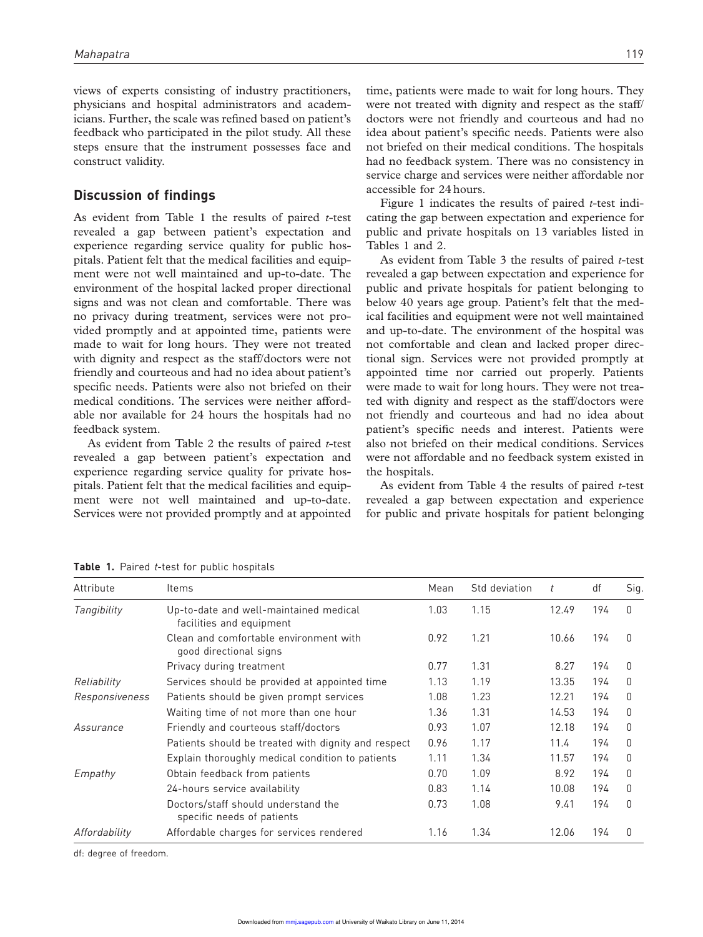views of experts consisting of industry practitioners, physicians and hospital administrators and academicians. Further, the scale was refined based on patient's feedback who participated in the pilot study. All these steps ensure that the instrument possesses face and construct validity.

## Discussion of findings

As evident from Table 1 the results of paired *t*-test revealed a gap between patient's expectation and experience regarding service quality for public hospitals. Patient felt that the medical facilities and equipment were not well maintained and up-to-date. The environment of the hospital lacked proper directional signs and was not clean and comfortable. There was no privacy during treatment, services were not provided promptly and at appointed time, patients were made to wait for long hours. They were not treated with dignity and respect as the staff/doctors were not friendly and courteous and had no idea about patient's specific needs. Patients were also not briefed on their medical conditions. The services were neither affordable nor available for 24 hours the hospitals had no feedback system.

As evident from Table 2 the results of paired *t*-test revealed a gap between patient's expectation and experience regarding service quality for private hospitals. Patient felt that the medical facilities and equipment were not well maintained and up-to-date. Services were not provided promptly and at appointed time, patients were made to wait for long hours. They were not treated with dignity and respect as the staff/ doctors were not friendly and courteous and had no idea about patient's specific needs. Patients were also not briefed on their medical conditions. The hospitals had no feedback system. There was no consistency in service charge and services were neither affordable nor accessible for 24 hours.

Figure 1 indicates the results of paired *t*-test indicating the gap between expectation and experience for public and private hospitals on 13 variables listed in Tables 1 and 2.

As evident from Table 3 the results of paired *t*-test revealed a gap between expectation and experience for public and private hospitals for patient belonging to below 40 years age group. Patient's felt that the medical facilities and equipment were not well maintained and up-to-date. The environment of the hospital was not comfortable and clean and lacked proper directional sign. Services were not provided promptly at appointed time nor carried out properly. Patients were made to wait for long hours. They were not treated with dignity and respect as the staff/doctors were not friendly and courteous and had no idea about patient's specific needs and interest. Patients were also not briefed on their medical conditions. Services were not affordable and no feedback system existed in the hospitals.

As evident from Table 4 the results of paired *t*-test revealed a gap between expectation and experience for public and private hospitals for patient belonging

| Attribute      | Items                                                              | Mean | Std deviation |              | df  | Sig.                             |
|----------------|--------------------------------------------------------------------|------|---------------|--------------|-----|----------------------------------|
| Tangibility    | Up-to-date and well-maintained medical<br>facilities and equipment | 1.03 | 1.15          | 12.49        | 194 | $\begin{array}{c} \n\end{array}$ |
|                | Clean and comfortable environment with<br>good directional signs   | 0.92 | 1.21          | 10.66        | 194 | $\Omega$                         |
|                | Privacy during treatment                                           | 0.77 | 1.31          | 8.27         | 194 | 0                                |
| Reliability    | Services should be provided at appointed time                      | 1.13 | 1.19          | 13.35        | 194 | 0                                |
| Responsiveness | Patients should be given prompt services                           | 1.08 | 1.23          | 12.21        | 194 | 0                                |
|                | Waiting time of not more than one hour                             | 1.36 | 1.31          | 14.53<br>194 | 0   |                                  |
| Assurance      | Friendly and courteous staff/doctors                               | 0.93 | 1.07          | 12.18        | 194 | 0                                |
|                | Patients should be treated with dignity and respect                | 0.96 | 1.17          | 11.4         | 194 | 0                                |
|                | Explain thoroughly medical condition to patients                   | 1.11 | 1.34          | 11.57        | 194 | 0                                |
| Empathy        | Obtain feedback from patients                                      | 0.70 | 1.09          | 8.92         | 194 | 0                                |
|                | 24-hours service availability                                      | 0.83 | 1.14          | 10.08        | 194 | 0                                |
|                | Doctors/staff should understand the<br>specific needs of patients  | 0.73 | 1.08          | 9.41         | 194 | 0                                |
| Affordability  | Affordable charges for services rendered                           | 1.16 | 1.34          | 12.06        | 194 | 0                                |

Table 1. Paired *t*-test for public hospitals

df: degree of freedom.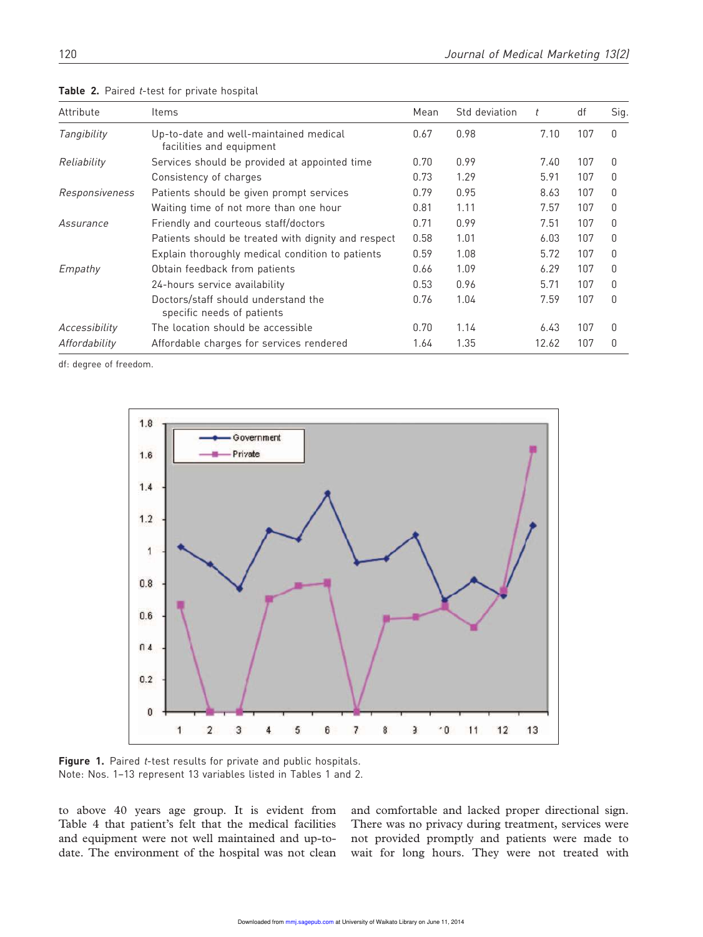| Attribute      | Items                                                              | Mean | Std deviation | t     | df  | Sig.         |
|----------------|--------------------------------------------------------------------|------|---------------|-------|-----|--------------|
| Tangibility    | Up-to-date and well-maintained medical<br>facilities and equipment | 0.67 | 0.98          | 7.10  | 107 | 0            |
| Reliability    | Services should be provided at appointed time                      | 0.70 | 0.99          | 7.40  | 107 | $\Box$       |
|                | Consistency of charges                                             | 0.73 | 1.29          | 5.91  | 107 | n            |
| Responsiveness | Patients should be given prompt services                           | 0.79 | 0.95          | 8.63  | 107 | n            |
|                | Waiting time of not more than one hour                             | 0.81 | 1.11          | 7.57  | 107 | $\Box$       |
| Assurance      | Friendly and courteous staff/doctors                               | 0.71 | 0.99          | 7.51  | 107 | $\Box$       |
|                | Patients should be treated with dignity and respect                | 0.58 | 1.01          | 6.03  | 107 | <sup>n</sup> |
|                | Explain thoroughly medical condition to patients                   | 0.59 | 1.08          | 5.72  | 107 | n            |
| Empathy        | Obtain feedback from patients                                      | 0.66 | 1.09          | 6.29  | 107 | $\Omega$     |
|                | 24-hours service availability                                      | 0.53 | 0.96          | 5.71  | 107 | $\Box$       |
|                | Doctors/staff should understand the<br>specific needs of patients  | 0.76 | 1.04          | 7.59  | 107 | <sup>n</sup> |
| Accessibility  | The location should be accessible                                  | 0.70 | 1.14          | 6.43  | 107 | $\Box$       |
| Affordability  | Affordable charges for services rendered                           | 1.64 | 1.35          | 12.62 | 107 | n            |

Table 2. Paired t-test for private hospital

df: degree of freedom.



Figure 1. Paired *t*-test results for private and public hospitals. Note: Nos. 1–13 represent 13 variables listed in Tables 1 and 2.

to above 40 years age group. It is evident from Table 4 that patient's felt that the medical facilities and equipment were not well maintained and up-todate. The environment of the hospital was not clean

and comfortable and lacked proper directional sign. There was no privacy during treatment, services were not provided promptly and patients were made to wait for long hours. They were not treated with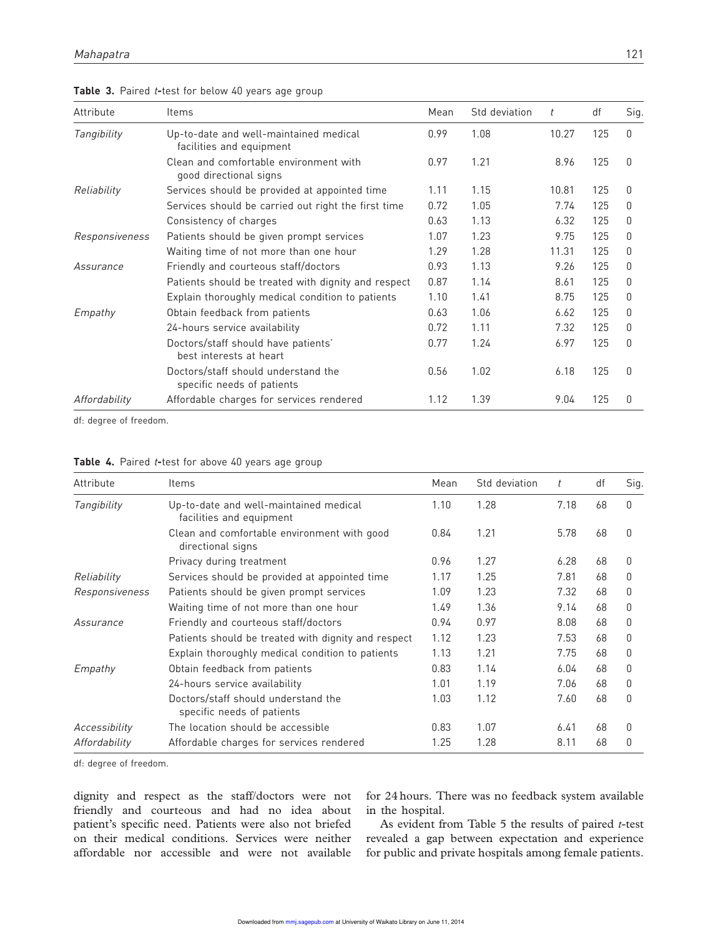| Attribute      | Items                                                              | Mean | Std deviation |       | df                       | Sig.         |
|----------------|--------------------------------------------------------------------|------|---------------|-------|--------------------------|--------------|
| Tangibility    | Up-to-date and well-maintained medical<br>facilities and equipment | 0.99 | 1.08          | 10.27 | 125                      | <sup>n</sup> |
|                | Clean and comfortable environment with<br>good directional signs   | 0.97 | 1.21          | 8.96  | 125                      | 0            |
| Reliability    | Services should be provided at appointed time                      | 1.11 | 1.15          | 10.81 | 125                      | 0            |
|                | Services should be carried out right the first time                | 0.72 | 1.05          | 7.74  | 125                      | $\Box$       |
|                | Consistency of charges                                             | 0.63 | 1.13          | 6.32  | 125                      | 0            |
| Responsiveness | Patients should be given prompt services                           | 1.07 | 1.23          | 9.75  | 125                      | n            |
|                | Waiting time of not more than one hour                             | 1.29 | 1.28          | 11.31 | 125                      | <sup>n</sup> |
| Assurance      | Friendly and courteous staff/doctors                               | 0.93 | 1.13          | 9.26  | 125                      | $\Box$       |
|                | Patients should be treated with dignity and respect                | 0.87 | 1.14          | 8.61  | 125                      | <sup>n</sup> |
|                | Explain thoroughly medical condition to patients                   | 1.10 | 1.41          | 8.75  | 125                      | $\Box$       |
| Empathy        | Obtain feedback from patients                                      | 0.63 | 1.06          | 6.62  | 125                      | $\Omega$     |
|                | 24-hours service availability                                      | 0.72 | 1.11          | 7.32  | 125<br>125<br>125<br>125 | 0            |
|                | Doctors/staff should have patients'<br>best interests at heart     | 0.77 | 1.24          | 6.97  |                          | $\Box$       |
|                | Doctors/staff should understand the<br>specific needs of patients  | 0.56 | 1.02          | 6.18  |                          | $\Box$       |
| Affordability  | Affordable charges for services rendered                           | 1.12 | 1.39          | 9.04  |                          | 0            |
|                |                                                                    |      |               |       |                          |              |

#### Table 3. Paired *t*-test for below 40 years age group

df: degree of freedom.

|  |  | Table 4. Paired t-test for above 40 years age group |  |  |  |  |  |  |  |  |
|--|--|-----------------------------------------------------|--|--|--|--|--|--|--|--|
|--|--|-----------------------------------------------------|--|--|--|--|--|--|--|--|

| Attribute      | ltems                                                              | Mean         | Std deviation | t    | df       | Sig.         |
|----------------|--------------------------------------------------------------------|--------------|---------------|------|----------|--------------|
| Tangibility    | Up-to-date and well-maintained medical<br>facilities and equipment | 1.10         | 1.28          | 7.18 | 68       | $\Omega$     |
|                | Clean and comfortable environment with good<br>directional signs   | 0.84         | 1.21          | 5.78 | 68       | n            |
|                | Privacy during treatment                                           | 0.96         | 1.27          | 6.28 | 68       | $\Box$       |
| Reliability    | Services should be provided at appointed time                      | 1.17         | 1.25          | 7.81 | 68       | $\Box$       |
| Responsiveness | Patients should be given prompt services                           | 1.09         | 1.23          | 7.32 | 68       | $\Box$       |
|                | Waiting time of not more than one hour                             | 1.36<br>1.49 | 9.14          | 68   | $\Box$   |              |
| Assurance      | Friendly and courteous staff/doctors                               | 0.94         | 0.97          | 8.08 | 68       | $\Box$       |
|                | Patients should be treated with dignity and respect                | 1.12         | 1.23          | 7.53 | 68       | <sup>n</sup> |
|                | Explain thoroughly medical condition to patients                   | 1.13         | 1.21          | 7.75 | 68<br>68 | $\Box$       |
| Empathy        | Obtain feedback from patients                                      | 0.83         | 1.14          | 6.04 |          | <sup>n</sup> |
|                | 24-hours service availability                                      | 1.01         | 1.19          | 7.06 | 68       | $\Box$       |
|                | Doctors/staff should understand the<br>specific needs of patients  | 1.03         | 1.12          | 7.60 | 68       | <sup>0</sup> |
| Accessibility  | The location should be accessible                                  | 0.83         | 1.07          | 6.41 | 68       | $\Box$       |
| Affordability  | Affordable charges for services rendered                           | 1.25         | 1.28          | 8.11 | 68       | $\Box$       |

df: degree of freedom.

dignity and respect as the staff/doctors were not friendly and courteous and had no idea about patient's specific need. Patients were also not briefed on their medical conditions. Services were neither affordable nor accessible and were not available

for 24 hours. There was no feedback system available in the hospital.

As evident from Table 5 the results of paired *t*-test revealed a gap between expectation and experience for public and private hospitals among female patients.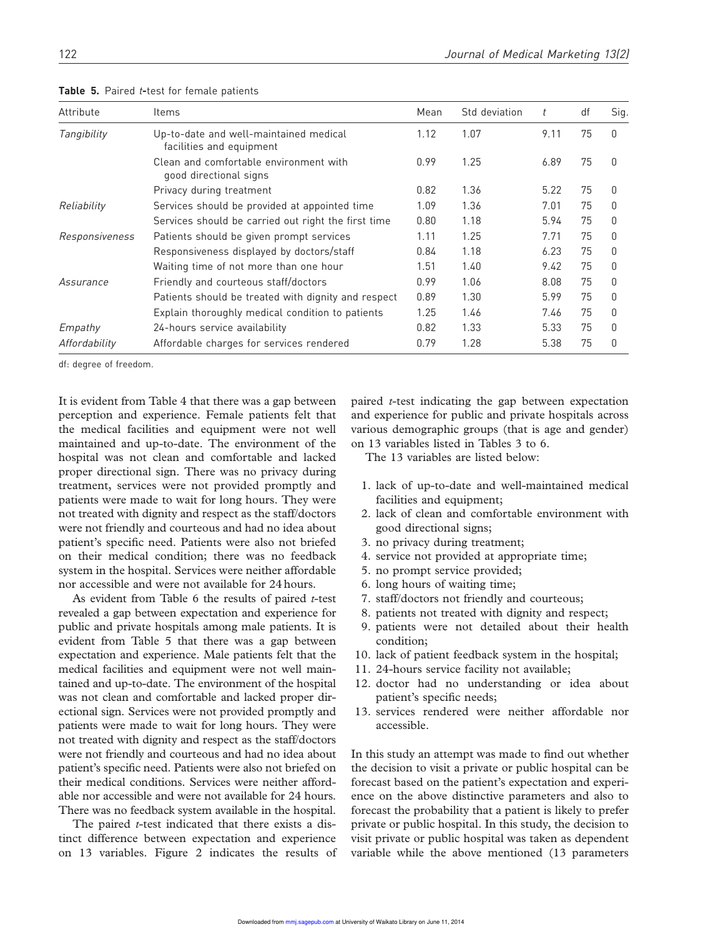| Attribute      | Items                                                              | Mean | Std deviation | t    | df | Sig.         |
|----------------|--------------------------------------------------------------------|------|---------------|------|----|--------------|
| Tangibility    | Up-to-date and well-maintained medical<br>facilities and equipment | 1.12 | 1.07          | 9.11 | 75 | 0            |
|                | Clean and comfortable environment with<br>good directional signs   | 0.99 | 1.25          | 6.89 | 75 | 0            |
|                | Privacy during treatment                                           | 0.82 | 1.36          | 5.22 | 75 | 0            |
| Reliability    | Services should be provided at appointed time                      | 1.09 | 1.36          | 7.01 | 75 | <sup>n</sup> |
|                | Services should be carried out right the first time                | 0.80 | 1.18          | 5.94 | 75 | <sup>0</sup> |
| Responsiveness | Patients should be given prompt services                           | 1.11 | 1.25          | 7.71 | 75 | 0            |
|                | Responsiveness displayed by doctors/staff                          | 0.84 | 1.18          | 6.23 | 75 | O.           |
|                | Waiting time of not more than one hour                             | 1.51 | 1.40          | 9.42 | 75 | <sup>n</sup> |
| Assurance      | Friendly and courteous staff/doctors                               | 0.99 | 1.06          | 8.08 | 75 | <sup>0</sup> |
|                | Patients should be treated with dignity and respect                | 0.89 | 1.30          | 5.99 | 75 | 0            |
|                | Explain thoroughly medical condition to patients                   | 1.25 | 1.46          | 7.46 | 75 | <sup>0</sup> |
| Empathy        | 24-hours service availability                                      | 0.82 | 1.33          | 5.33 | 75 | <sup>n</sup> |
| Affordability  | Affordable charges for services rendered                           | 0.79 | 1.28          | 5.38 | 75 | <sup>0</sup> |

Table 5. Paired *t*-test for female patients

df: degree of freedom.

It is evident from Table 4 that there was a gap between perception and experience. Female patients felt that the medical facilities and equipment were not well maintained and up-to-date. The environment of the hospital was not clean and comfortable and lacked proper directional sign. There was no privacy during treatment, services were not provided promptly and patients were made to wait for long hours. They were not treated with dignity and respect as the staff/doctors were not friendly and courteous and had no idea about patient's specific need. Patients were also not briefed on their medical condition; there was no feedback system in the hospital. Services were neither affordable nor accessible and were not available for 24 hours.

As evident from Table 6 the results of paired *t*-test revealed a gap between expectation and experience for public and private hospitals among male patients. It is evident from Table 5 that there was a gap between expectation and experience. Male patients felt that the medical facilities and equipment were not well maintained and up-to-date. The environment of the hospital was not clean and comfortable and lacked proper directional sign. Services were not provided promptly and patients were made to wait for long hours. They were not treated with dignity and respect as the staff/doctors were not friendly and courteous and had no idea about patient's specific need. Patients were also not briefed on their medical conditions. Services were neither affordable nor accessible and were not available for 24 hours. There was no feedback system available in the hospital.

The paired *t*-test indicated that there exists a distinct difference between expectation and experience on 13 variables. Figure 2 indicates the results of paired *t*-test indicating the gap between expectation and experience for public and private hospitals across various demographic groups (that is age and gender) on 13 variables listed in Tables 3 to 6.

The 13 variables are listed below:

- 1. lack of up-to-date and well-maintained medical facilities and equipment;
- 2. lack of clean and comfortable environment with good directional signs;
- 3. no privacy during treatment;
- 4. service not provided at appropriate time;
- 5. no prompt service provided;
- 6. long hours of waiting time;
- 7. staff/doctors not friendly and courteous;
- 8. patients not treated with dignity and respect;
- 9. patients were not detailed about their health condition;
- 10. lack of patient feedback system in the hospital;
- 11. 24-hours service facility not available;
- 12. doctor had no understanding or idea about patient's specific needs;
- 13. services rendered were neither affordable nor accessible.

In this study an attempt was made to find out whether the decision to visit a private or public hospital can be forecast based on the patient's expectation and experience on the above distinctive parameters and also to forecast the probability that a patient is likely to prefer private or public hospital. In this study, the decision to visit private or public hospital was taken as dependent variable while the above mentioned (13 parameters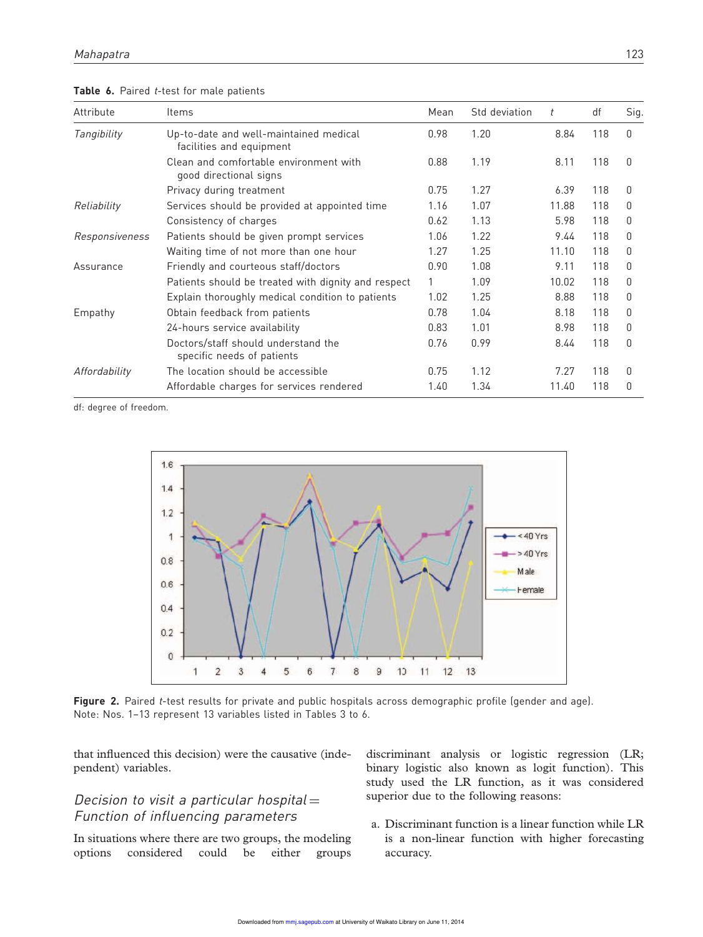| Attribute      | Items                                                              | Mean | Std deviation | t     | df                                                                                             | Sig.                             |
|----------------|--------------------------------------------------------------------|------|---------------|-------|------------------------------------------------------------------------------------------------|----------------------------------|
| Tangibility    | Up-to-date and well-maintained medical<br>facilities and equipment | 0.98 | 1.20          | 8.84  | 118                                                                                            | $\bigcap$                        |
|                | Clean and comfortable environment with<br>good directional signs   | 0.88 | 1.19          | 8.11  | 118<br>118<br>118<br>118<br>118<br>118<br>118<br>118<br>118<br>118<br>118<br>118<br>118<br>118 | $\Box$                           |
|                | Privacy during treatment                                           | 0.75 | 1.27          | 6.39  |                                                                                                | $\Box$                           |
| Reliability    | Services should be provided at appointed time                      | 1.16 | 1.07          | 11.88 |                                                                                                | <sup>n</sup>                     |
|                | Consistency of charges                                             | 0.62 | 1.13          | 5.98  |                                                                                                | <sup>0</sup>                     |
| Responsiveness | Patients should be given prompt services                           | 1.06 | 1.22          | 9.44  |                                                                                                | <sup>n</sup>                     |
|                | Waiting time of not more than one hour                             | 1.27 | 1.25          | 11.10 |                                                                                                | $\Box$                           |
| Assurance      | Friendly and courteous staff/doctors                               | 0.90 | 1.08          | 9.11  |                                                                                                | $\Box$                           |
|                | Patients should be treated with dignity and respect                |      | 1.09          | 10.02 |                                                                                                | <sup>n</sup>                     |
|                | Explain thoroughly medical condition to patients                   | 1.02 | 1.25          | 8.88  |                                                                                                | <sup>n</sup>                     |
| Empathy        | Obtain feedback from patients                                      | 0.78 | 1.04          | 8.18  |                                                                                                | $\begin{array}{c} \n\end{array}$ |
|                | 24-hours service availability                                      | 0.83 | 1.01          | 8.98  |                                                                                                | $\Box$                           |
|                | Doctors/staff should understand the<br>specific needs of patients  | 0.76 | 0.99          | 8.44  |                                                                                                | $\Box$                           |
| Affordability  | The location should be accessible                                  | 0.75 | 1.12          | 7.27  |                                                                                                | <sup>n</sup>                     |
|                | Affordable charges for services rendered                           | 1.40 | 1.34          | 11.40 |                                                                                                | 0                                |

#### Table 6. Paired *t*-test for male patients

df: degree of freedom.



Figure 2. Paired *t*-test results for private and public hospitals across demographic profile (gender and age). Note: Nos. 1–13 represent 13 variables listed in Tables 3 to 6.

that influenced this decision) were the causative (independent) variables.

# Decision to visit a particular hospital  $=$ Function of influencing parameters

In situations where there are two groups, the modeling options considered could be either groups

discriminant analysis or logistic regression (LR; binary logistic also known as logit function). This study used the LR function, as it was considered superior due to the following reasons:

a. Discriminant function is a linear function while LR is a non-linear function with higher forecasting accuracy.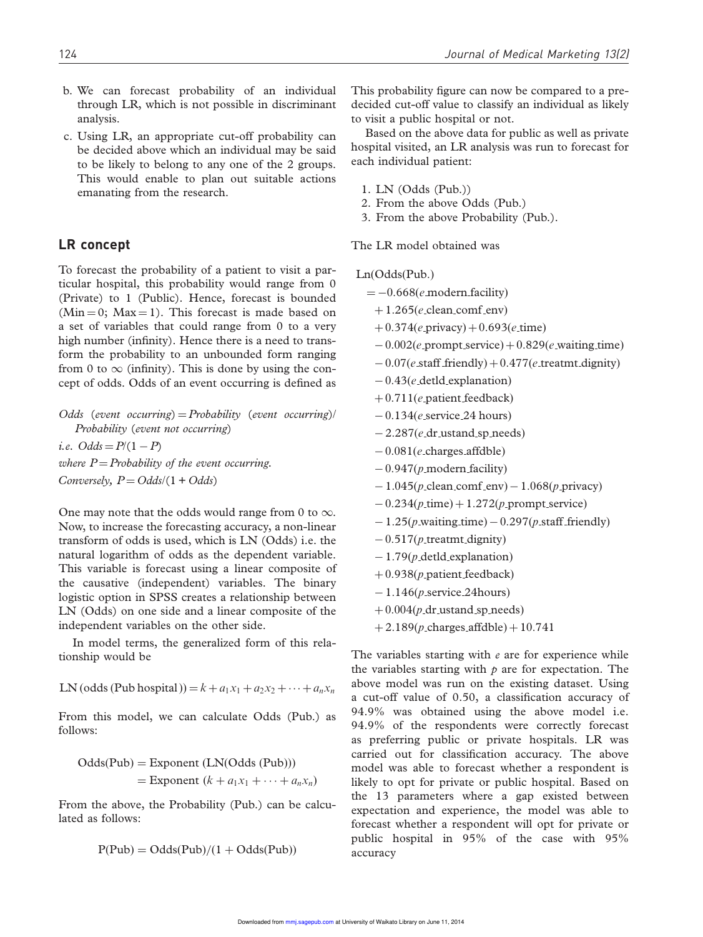- b. We can forecast probability of an individual through LR, which is not possible in discriminant analysis.
- c. Using LR, an appropriate cut-off probability can be decided above which an individual may be said to be likely to belong to any one of the 2 groups. This would enable to plan out suitable actions emanating from the research.

# LR concept

To forecast the probability of a patient to visit a particular hospital, this probability would range from 0 (Private) to 1 (Public). Hence, forecast is bounded  $(Min = 0; Max = 1)$ . This forecast is made based on a set of variables that could range from 0 to a very high number (infinity). Hence there is a need to transform the probability to an unbounded form ranging from 0 to  $\infty$  (infinity). This is done by using the concept of odds. Odds of an event occurring is defined as

*Odds* (*event occurring*) = *Probability* (*event occurring*)/ *Probability* (*event not occurring*) *i.e.*  $Odds = P/(1 - P)$ *where*  $P =$  *Probability of the event occurring. Conversely,*  $P = Odds/(1 + Odds)$ 

One may note that the odds would range from 0 to  $\infty$ . Now, to increase the forecasting accuracy, a non-linear transform of odds is used, which is LN (Odds) i.e. the natural logarithm of odds as the dependent variable. This variable is forecast using a linear composite of the causative (independent) variables. The binary logistic option in SPSS creates a relationship between LN (Odds) on one side and a linear composite of the independent variables on the other side.

In model terms, the generalized form of this relationship would be

LN (odds (Pub hospital)) =  $k + a_1x_1 + a_2x_2 + \cdots + a_nx_n$ 

From this model, we can calculate Odds (Pub.) as follows:

Odds(Pub) = Exponent (LN(Odds (Pub)))  
= Exponent (
$$
k + a_1x_1 + \cdots + a_nx_n
$$
)

From the above, the Probability (Pub.) can be calculated as follows:

$$
P(Pub) = Odds(Pub)/(1 + Odds(Pub))
$$

This probability figure can now be compared to a predecided cut-off value to classify an individual as likely to visit a public hospital or not.

Based on the above data for public as well as private hospital visited, an LR analysis was run to forecast for each individual patient:

- 1. LN (Odds (Pub.))
- 2. From the above Odds (Pub.)
- 3. From the above Probability (Pub.).

The LR model obtained was

 $Ln(Odds (Pub.)$ 

- $= -0.668(e \text{ modern facility})$ 
	- $+1.265$ (e clean comf env)
	- $+0.374(e \text{ privacy}) + 0.693(e \text{ time})$
	- $-0.002(e$ -prompt\_service)  $+0.829(e$ -waiting\_time)
	- $-0.07$ (e\_staff\_friendly)  $+0.477$ (e\_treatmt\_dignity)
	- $-0.43(e$  detld explanation)
- $+0.711(e$  patient feedback)
- $-0.134(e$  service 24 hours)
- $-2.287(e.dr$  ustand sp needs)
- $-0.081(e_{\text{charges}}$ affdble)
- $-0.947(p\text{-modern-facility})$
- $-1.045(p$ -clean comf-env $)-1.068(p$ -privacy)
- $-0.234(p$  time) + 1.272(p prompt service)
- $-1.25(p_$  waiting time)  $-0.297(p_$  staff friendly)
- $-0.517(p$  treatmt dignity)
- $-1.79(p$  detld explanation)
- $+0.938(p$  patient feedback)
- $-1.146(p$  service 24 hours)
- $+0.004(p \text{ dr}$  ustand sp needs)
- $+2.189(p \text{ charges affable}) + 10.741$

The variables starting with *e* are for experience while the variables starting with  $p$  are for expectation. The above model was run on the existing dataset. Using a cut-off value of 0.50, a classification accuracy of 94.9% was obtained using the above model i.e. 94.9% of the respondents were correctly forecast as preferring public or private hospitals. LR was carried out for classification accuracy. The above model was able to forecast whether a respondent is likely to opt for private or public hospital. Based on the 13 parameters where a gap existed between expectation and experience, the model was able to forecast whether a respondent will opt for private or public hospital in 95% of the case with 95% accuracy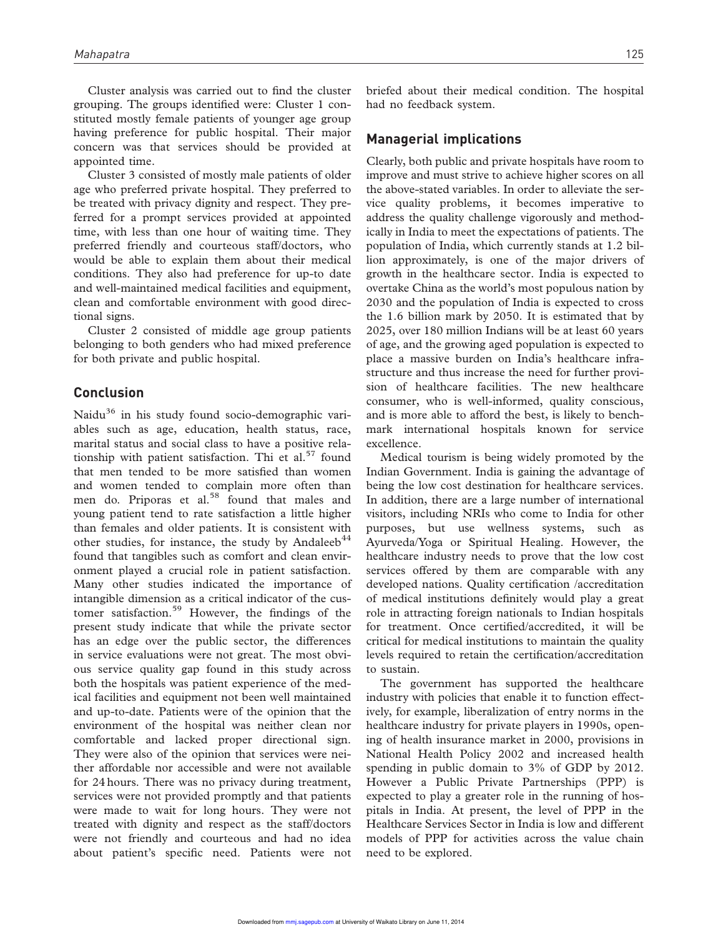Cluster analysis was carried out to find the cluster grouping. The groups identified were: Cluster 1 constituted mostly female patients of younger age group having preference for public hospital. Their major concern was that services should be provided at appointed time.

Cluster 3 consisted of mostly male patients of older age who preferred private hospital. They preferred to be treated with privacy dignity and respect. They preferred for a prompt services provided at appointed time, with less than one hour of waiting time. They preferred friendly and courteous staff/doctors, who would be able to explain them about their medical conditions. They also had preference for up-to date and well-maintained medical facilities and equipment, clean and comfortable environment with good directional signs.

Cluster 2 consisted of middle age group patients belonging to both genders who had mixed preference for both private and public hospital.

## Conclusion

Naidu<sup>36</sup> in his study found socio-demographic variables such as age, education, health status, race, marital status and social class to have a positive relationship with patient satisfaction. Thi et al. $57$  found that men tended to be more satisfied than women and women tended to complain more often than men do. Priporas et al.<sup>58</sup> found that males and young patient tend to rate satisfaction a little higher than females and older patients. It is consistent with other studies, for instance, the study by Andaleeb<sup>44</sup> found that tangibles such as comfort and clean environment played a crucial role in patient satisfaction. Many other studies indicated the importance of intangible dimension as a critical indicator of the customer satisfaction.<sup>59</sup> However, the findings of the present study indicate that while the private sector has an edge over the public sector, the differences in service evaluations were not great. The most obvious service quality gap found in this study across both the hospitals was patient experience of the medical facilities and equipment not been well maintained and up-to-date. Patients were of the opinion that the environment of the hospital was neither clean nor comfortable and lacked proper directional sign. They were also of the opinion that services were neither affordable nor accessible and were not available for 24 hours. There was no privacy during treatment, services were not provided promptly and that patients were made to wait for long hours. They were not treated with dignity and respect as the staff/doctors were not friendly and courteous and had no idea about patient's specific need. Patients were not briefed about their medical condition. The hospital had no feedback system.

# Managerial implications

Clearly, both public and private hospitals have room to improve and must strive to achieve higher scores on all the above-stated variables. In order to alleviate the service quality problems, it becomes imperative to address the quality challenge vigorously and methodically in India to meet the expectations of patients. The population of India, which currently stands at 1.2 billion approximately, is one of the major drivers of growth in the healthcare sector. India is expected to overtake China as the world's most populous nation by 2030 and the population of India is expected to cross the 1.6 billion mark by 2050. It is estimated that by 2025, over 180 million Indians will be at least 60 years of age, and the growing aged population is expected to place a massive burden on India's healthcare infrastructure and thus increase the need for further provision of healthcare facilities. The new healthcare consumer, who is well-informed, quality conscious, and is more able to afford the best, is likely to benchmark international hospitals known for service excellence.

Medical tourism is being widely promoted by the Indian Government. India is gaining the advantage of being the low cost destination for healthcare services. In addition, there are a large number of international visitors, including NRIs who come to India for other purposes, but use wellness systems, such as Ayurveda/Yoga or Spiritual Healing. However, the healthcare industry needs to prove that the low cost services offered by them are comparable with any developed nations. Quality certification /accreditation of medical institutions definitely would play a great role in attracting foreign nationals to Indian hospitals for treatment. Once certified/accredited, it will be critical for medical institutions to maintain the quality levels required to retain the certification/accreditation to sustain.

The government has supported the healthcare industry with policies that enable it to function effectively, for example, liberalization of entry norms in the healthcare industry for private players in 1990s, opening of health insurance market in 2000, provisions in National Health Policy 2002 and increased health spending in public domain to 3% of GDP by 2012. However a Public Private Partnerships (PPP) is expected to play a greater role in the running of hospitals in India. At present, the level of PPP in the Healthcare Services Sector in India is low and different models of PPP for activities across the value chain need to be explored.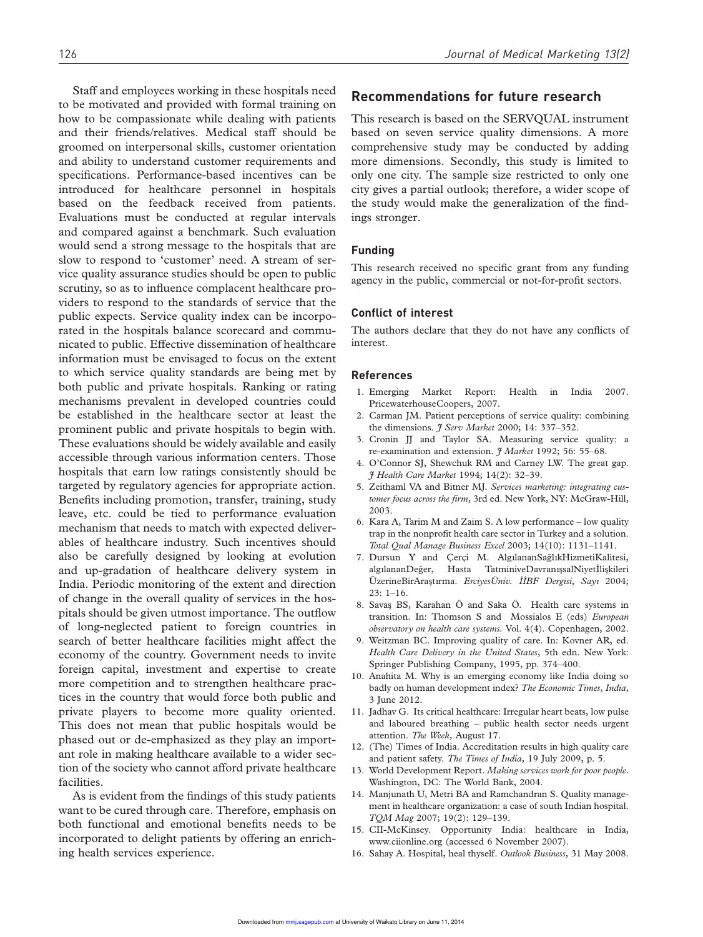Staff and employees working in these hospitals need to be motivated and provided with formal training on how to be compassionate while dealing with patients and their friends/relatives. Medical staff should be groomed on interpersonal skills, customer orientation and ability to understand customer requirements and specifications. Performance-based incentives can be introduced for healthcare personnel in hospitals based on the feedback received from patients. Evaluations must be conducted at regular intervals and compared against a benchmark. Such evaluation would send a strong message to the hospitals that are slow to respond to 'customer' need. A stream of service quality assurance studies should be open to public scrutiny, so as to influence complacent healthcare providers to respond to the standards of service that the public expects. Service quality index can be incorporated in the hospitals balance scorecard and communicated to public. Effective dissemination of healthcare information must be envisaged to focus on the extent to which service quality standards are being met by both public and private hospitals. Ranking or rating mechanisms prevalent in developed countries could be established in the healthcare sector at least the prominent public and private hospitals to begin with. These evaluations should be widely available and easily accessible through various information centers. Those hospitals that earn low ratings consistently should be targeted by regulatory agencies for appropriate action. Benefits including promotion, transfer, training, study leave, etc. could be tied to performance evaluation mechanism that needs to match with expected deliverables of healthcare industry. Such incentives should also be carefully designed by looking at evolution and up-gradation of healthcare delivery system in India. Periodic monitoring of the extent and direction of change in the overall quality of services in the hospitals should be given utmost importance. The outflow of long-neglected patient to foreign countries in search of better healthcare facilities might affect the economy of the country. Government needs to invite foreign capital, investment and expertise to create more competition and to strengthen healthcare practices in the country that would force both public and private players to become more quality oriented. This does not mean that public hospitals would be phased out or de-emphasized as they play an important role in making healthcare available to a wider section of the society who cannot afford private healthcare facilities.

As is evident from the findings of this study patients want to be cured through care. Therefore, emphasis on both functional and emotional benefits needs to be incorporated to delight patients by offering an enriching health services experience.

#### Recommendations for future research

This research is based on the SERVQUAL instrument based on seven service quality dimensions. A more comprehensive study may be conducted by adding more dimensions. Secondly, this study is limited to only one city. The sample size restricted to only one city gives a partial outlook; therefore, a wider scope of the study would make the generalization of the findings stronger.

#### Funding

This research received no specific grant from any funding agency in the public, commercial or not-for-profit sectors.

#### Conflict of interest

The authors declare that they do not have any conflicts of interest.

#### References

- 1. Emerging Market Report: Health in India 2007. PricewaterhouseCoopers, 2007.
- 2. Carman JM. Patient perceptions of service quality: combining the dimensions. *J Serv Market* 2000; 14: 337–352.
- 3. Cronin JJ and Taylor SA. Measuring service quality: a re-examination and extension. *J Market* 1992; 56: 55–68.
- 4. O'Connor SJ, Shewchuk RM and Carney LW. The great gap. *J Health Care Market* 1994; 14(2): 32–39.
- 5. Zeithaml VA and Bitner MJ. *Services marketing: integrating customer focus across the firm*, 3rd ed. New York, NY: McGraw-Hill, 2003.
- 6. Kara A, Tarim M and Zaim S. A low performance low quality trap in the nonprofit health care sector in Turkey and a solution. *Total Qual Manage Business Excel* 2003; 14(10): 1131–1141.
- 7. Dursun Y and Çerçi M. AlgılananSağlıkHizmetiKalitesi, algılananDeğer, Hasta TatminiveDavranışsalNiyetİlişkileri U¨ zerineBirAras¸tırma. *ErciyesU¨ niv. I˙I ˙BF Dergisi, Sayı* 2004; 23: 1–16.
- 8. Savaş BS, Karahan Ö and Saka Ö. Health care systems in transition. In: Thomson S and Mossialos E (eds) *European observatory on health care systems.* Vol. 4(4). Copenhagen, 2002.
- 9. Weitzman BC. Improving quality of care. In: Kovner AR, ed. *Health Care Delivery in the United States*, 5th edn. New York: Springer Publishing Company, 1995, pp. 374–400.
- 10. Anahita M. Why is an emerging economy like India doing so badly on human development index? *The Economic Times*, *India*, 3 June 2012.
- 11. Jadhav G. Its critical healthcare: Irregular heart beats, low pulse and laboured breathing – public health sector needs urgent attention. *The Week,* August 17.
- 12. (The) Times of India. Accreditation results in high quality care and patient safety. *The Times of India,* 19 July 2009, p. 5.
- 13. World Development Report. *Making services work for poor people*. Washington, DC: The World Bank, 2004.
- 14. Manjunath U, Metri BA and Ramchandran S. Quality management in healthcare organization: a case of south Indian hospital. *TQM Mag* 2007; 19(2): 129–139.
- 15. CII-McKinsey. Opportunity India: healthcare in India, www.ciionline.org (accessed 6 November 2007).
- 16. Sahay A. Hospital, heal thyself. *Outlook Business,* 31 May 2008.